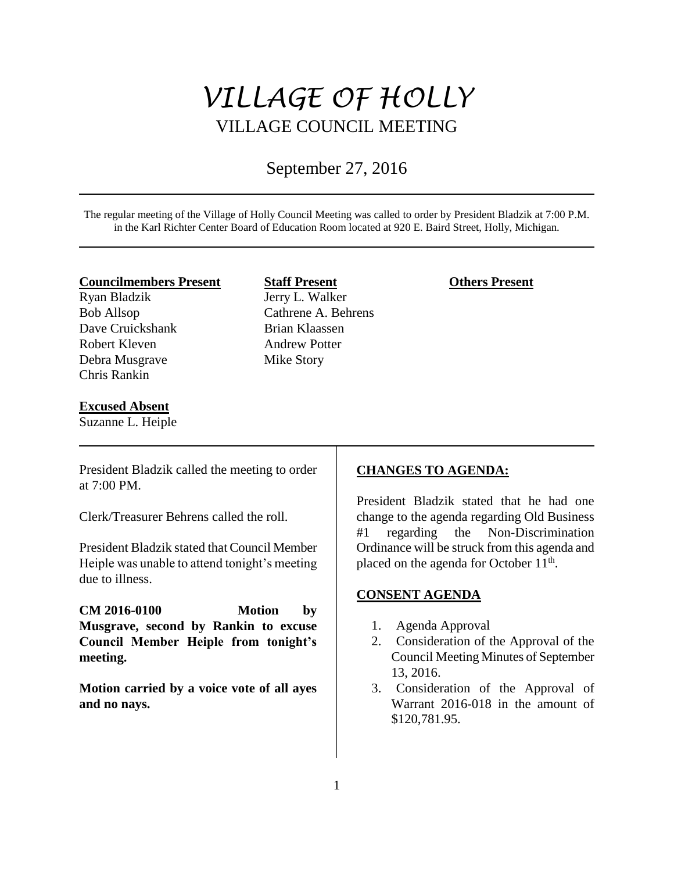# *VILLAGE OF HOLLY* VILLAGE COUNCIL MEETING

# September 27, 2016

The regular meeting of the Village of Holly Council Meeting was called to order by President Bladzik at 7:00 P.M. in the Karl Richter Center Board of Education Room located at 920 E. Baird Street, Holly, Michigan.

#### **Councilmembers Present**

Ryan Bladzik Bob Allsop Dave Cruickshank Robert Kleven Debra Musgrave Chris Rankin

#### **Excused Absent**

Suzanne L. Heiple

**Staff Present** Jerry L. Walker Cathrene A. Behrens Brian Klaassen Andrew Potter Mike Story

#### **Others Present**

President Bladzik called the meeting to order at 7:00 PM.

Clerk/Treasurer Behrens called the roll.

President Bladzik stated that Council Member Heiple was unable to attend tonight's meeting due to illness.

**CM 2016-0100 Motion by Musgrave, second by Rankin to excuse Council Member Heiple from tonight's meeting.** 

**Motion carried by a voice vote of all ayes and no nays.** 

#### **CHANGES TO AGENDA:**

President Bladzik stated that he had one change to the agenda regarding Old Business #1 regarding the Non-Discrimination Ordinance will be struck from this agenda and placed on the agenda for October 11<sup>th</sup>.

# **CONSENT AGENDA**

- 1. Agenda Approval
- 2. Consideration of the Approval of the Council Meeting Minutes of September 13, 2016.
- 3. Consideration of the Approval of Warrant 2016-018 in the amount of \$120,781.95.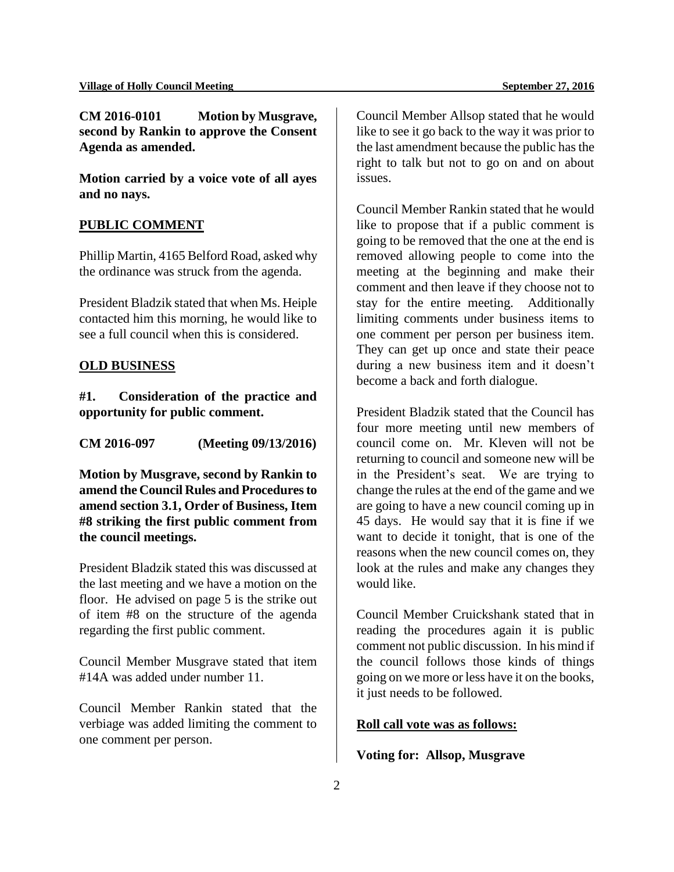**CM 2016-0101 Motion by Musgrave, second by Rankin to approve the Consent Agenda as amended.** 

**Motion carried by a voice vote of all ayes and no nays.**

### **PUBLIC COMMENT**

Phillip Martin, 4165 Belford Road, asked why the ordinance was struck from the agenda.

President Bladzik stated that when Ms. Heiple contacted him this morning, he would like to see a full council when this is considered.

#### **OLD BUSINESS**

**#1. Consideration of the practice and opportunity for public comment.**

**CM 2016-097 (Meeting 09/13/2016)**

**Motion by Musgrave, second by Rankin to amend the Council Rules and Procedures to amend section 3.1, Order of Business, Item #8 striking the first public comment from the council meetings.** 

President Bladzik stated this was discussed at the last meeting and we have a motion on the floor. He advised on page 5 is the strike out of item #8 on the structure of the agenda regarding the first public comment.

Council Member Musgrave stated that item #14A was added under number 11.

Council Member Rankin stated that the verbiage was added limiting the comment to one comment per person.

Council Member Allsop stated that he would like to see it go back to the way it was prior to the last amendment because the public has the right to talk but not to go on and on about issues.

Council Member Rankin stated that he would like to propose that if a public comment is going to be removed that the one at the end is removed allowing people to come into the meeting at the beginning and make their comment and then leave if they choose not to stay for the entire meeting. Additionally limiting comments under business items to one comment per person per business item. They can get up once and state their peace during a new business item and it doesn't become a back and forth dialogue.

President Bladzik stated that the Council has four more meeting until new members of council come on. Mr. Kleven will not be returning to council and someone new will be in the President's seat. We are trying to change the rules at the end of the game and we are going to have a new council coming up in 45 days. He would say that it is fine if we want to decide it tonight, that is one of the reasons when the new council comes on, they look at the rules and make any changes they would like.

Council Member Cruickshank stated that in reading the procedures again it is public comment not public discussion. In his mind if the council follows those kinds of things going on we more or less have it on the books, it just needs to be followed.

#### **Roll call vote was as follows:**

**Voting for: Allsop, Musgrave**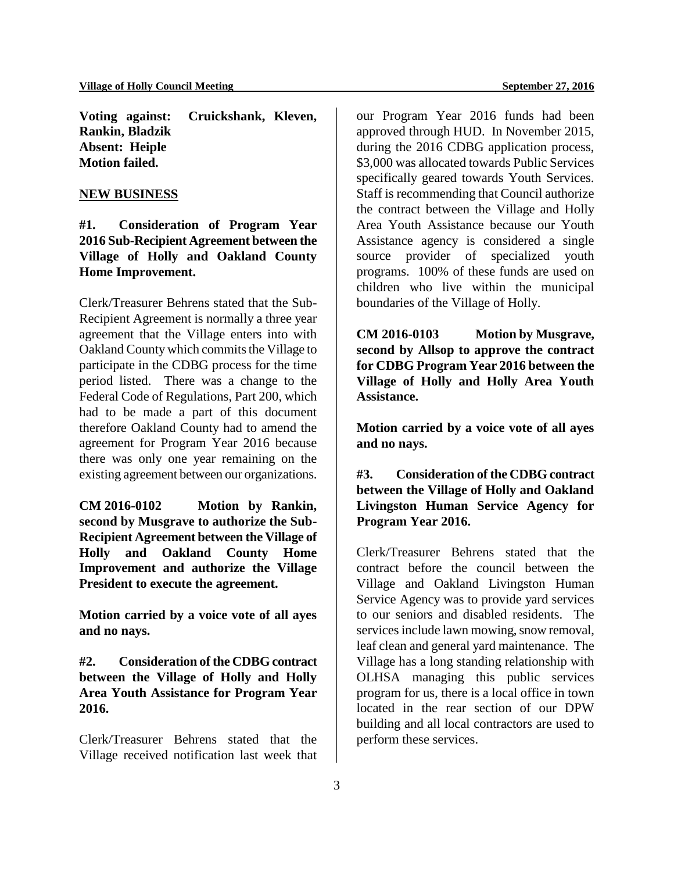**Voting against: Cruickshank, Kleven, Rankin, Bladzik Absent: Heiple Motion failed.**

#### **NEW BUSINESS**

**#1. Consideration of Program Year 2016 Sub-Recipient Agreement between the Village of Holly and Oakland County Home Improvement.**

Clerk/Treasurer Behrens stated that the Sub-Recipient Agreement is normally a three year agreement that the Village enters into with Oakland County which commits the Village to participate in the CDBG process for the time period listed. There was a change to the Federal Code of Regulations, Part 200, which had to be made a part of this document therefore Oakland County had to amend the agreement for Program Year 2016 because there was only one year remaining on the existing agreement between our organizations.

**CM 2016-0102 Motion by Rankin, second by Musgrave to authorize the Sub-Recipient Agreement between the Village of Holly and Oakland County Home Improvement and authorize the Village President to execute the agreement.** 

**Motion carried by a voice vote of all ayes and no nays.** 

**#2. Consideration of the CDBG contract between the Village of Holly and Holly Area Youth Assistance for Program Year 2016.** 

Clerk/Treasurer Behrens stated that the Village received notification last week that our Program Year 2016 funds had been approved through HUD. In November 2015, during the 2016 CDBG application process, \$3,000 was allocated towards Public Services specifically geared towards Youth Services. Staff is recommending that Council authorize the contract between the Village and Holly Area Youth Assistance because our Youth Assistance agency is considered a single source provider of specialized youth programs. 100% of these funds are used on children who live within the municipal boundaries of the Village of Holly.

**CM 2016-0103 Motion by Musgrave, second by Allsop to approve the contract for CDBG Program Year 2016 between the Village of Holly and Holly Area Youth Assistance.**

**Motion carried by a voice vote of all ayes and no nays.**

**#3. Consideration of the CDBG contract between the Village of Holly and Oakland Livingston Human Service Agency for Program Year 2016.**

Clerk/Treasurer Behrens stated that the contract before the council between the Village and Oakland Livingston Human Service Agency was to provide yard services to our seniors and disabled residents. The services include lawn mowing, snow removal, leaf clean and general yard maintenance. The Village has a long standing relationship with OLHSA managing this public services program for us, there is a local office in town located in the rear section of our DPW building and all local contractors are used to perform these services.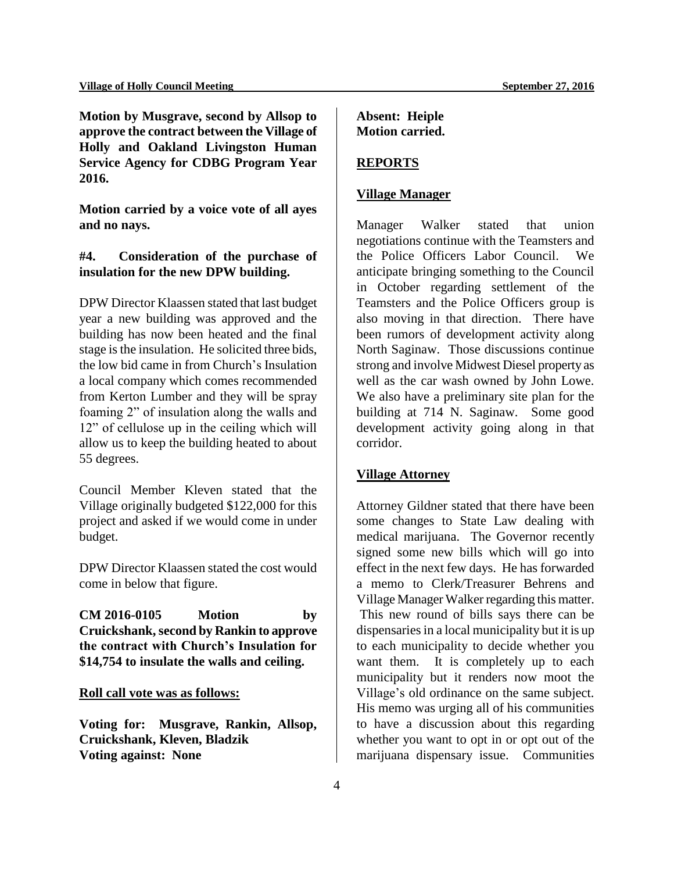**Motion by Musgrave, second by Allsop to approve the contract between the Village of Holly and Oakland Livingston Human Service Agency for CDBG Program Year 2016.** 

**Motion carried by a voice vote of all ayes and no nays.** 

# **#4. Consideration of the purchase of insulation for the new DPW building.**

DPW Director Klaassen stated that last budget year a new building was approved and the building has now been heated and the final stage is the insulation. He solicited three bids, the low bid came in from Church's Insulation a local company which comes recommended from Kerton Lumber and they will be spray foaming 2" of insulation along the walls and 12" of cellulose up in the ceiling which will allow us to keep the building heated to about 55 degrees.

Council Member Kleven stated that the Village originally budgeted \$122,000 for this project and asked if we would come in under budget.

DPW Director Klaassen stated the cost would come in below that figure.

**CM 2016-0105 Motion by Cruickshank, second by Rankin to approve the contract with Church's Insulation for \$14,754 to insulate the walls and ceiling.** 

**Roll call vote was as follows:**

**Voting for: Musgrave, Rankin, Allsop, Cruickshank, Kleven, Bladzik Voting against: None**

**Absent: Heiple Motion carried.** 

# **REPORTS**

#### **Village Manager**

Manager Walker stated that union negotiations continue with the Teamsters and the Police Officers Labor Council. We anticipate bringing something to the Council in October regarding settlement of the Teamsters and the Police Officers group is also moving in that direction. There have been rumors of development activity along North Saginaw. Those discussions continue strong and involve Midwest Diesel property as well as the car wash owned by John Lowe. We also have a preliminary site plan for the building at 714 N. Saginaw. Some good development activity going along in that corridor.

#### **Village Attorney**

Attorney Gildner stated that there have been some changes to State Law dealing with medical marijuana. The Governor recently signed some new bills which will go into effect in the next few days. He has forwarded a memo to Clerk/Treasurer Behrens and Village Manager Walker regarding this matter. This new round of bills says there can be dispensaries in a local municipality but it is up to each municipality to decide whether you want them. It is completely up to each municipality but it renders now moot the Village's old ordinance on the same subject. His memo was urging all of his communities to have a discussion about this regarding whether you want to opt in or opt out of the marijuana dispensary issue. Communities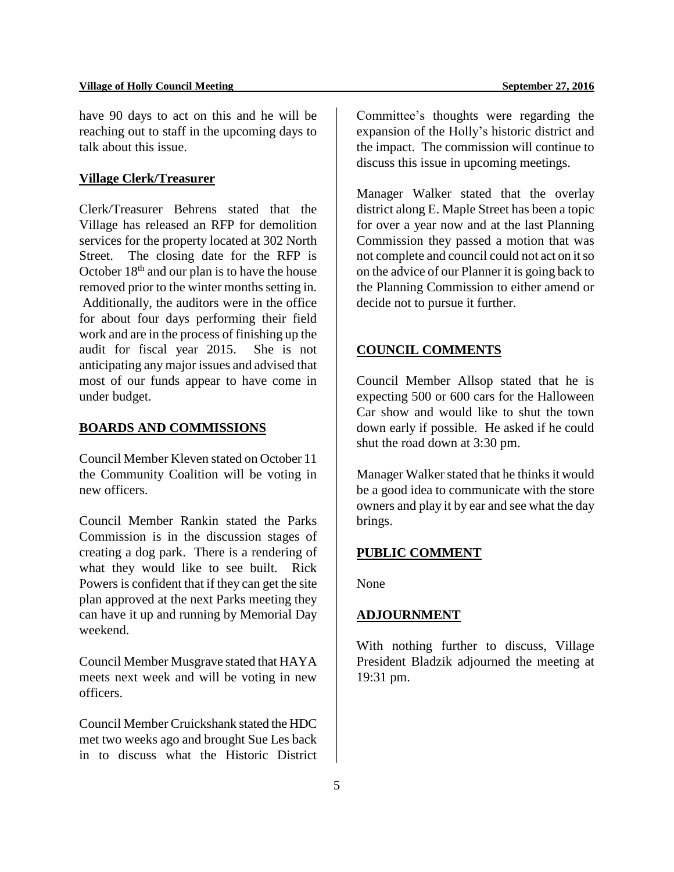have 90 days to act on this and he will be reaching out to staff in the upcoming days to talk about this issue.

#### **Village Clerk/Treasurer**

Clerk/Treasurer Behrens stated that the Village has released an RFP for demolition services for the property located at 302 North Street. The closing date for the RFP is October  $18<sup>th</sup>$  and our plan is to have the house removed prior to the winter months setting in. Additionally, the auditors were in the office for about four days performing their field work and are in the process of finishing up the audit for fiscal year 2015. She is not anticipating any major issues and advised that most of our funds appear to have come in under budget.

# **BOARDS AND COMMISSIONS**

Council Member Kleven stated on October 11 the Community Coalition will be voting in new officers.

Council Member Rankin stated the Parks Commission is in the discussion stages of creating a dog park. There is a rendering of what they would like to see built. Rick Powers is confident that if they can get the site plan approved at the next Parks meeting they can have it up and running by Memorial Day weekend.

Council Member Musgrave stated that HAYA meets next week and will be voting in new officers.

Council Member Cruickshank stated the HDC met two weeks ago and brought Sue Les back in to discuss what the Historic District Committee's thoughts were regarding the expansion of the Holly's historic district and the impact. The commission will continue to discuss this issue in upcoming meetings.

Manager Walker stated that the overlay district along E. Maple Street has been a topic for over a year now and at the last Planning Commission they passed a motion that was not complete and council could not act on it so on the advice of our Planner it is going back to the Planning Commission to either amend or decide not to pursue it further.

#### **COUNCIL COMMENTS**

Council Member Allsop stated that he is expecting 500 or 600 cars for the Halloween Car show and would like to shut the town down early if possible. He asked if he could shut the road down at 3:30 pm.

Manager Walker stated that he thinks it would be a good idea to communicate with the store owners and play it by ear and see what the day brings.

#### **PUBLIC COMMENT**

None

#### **ADJOURNMENT**

With nothing further to discuss, Village President Bladzik adjourned the meeting at 19:31 pm.